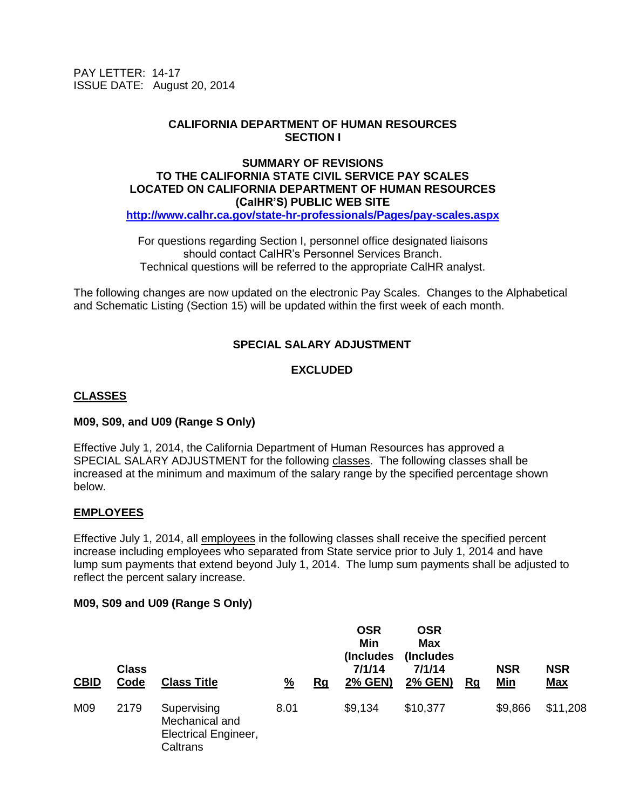PAY LETTER: 14-17 ISSUE DATE: August 20, 2014

## **CALIFORNIA DEPARTMENT OF HUMAN RESOURCES SECTION I**

### **SUMMARY OF REVISIONS TO THE CALIFORNIA STATE CIVIL SERVICE PAY SCALES LOCATED ON CALIFORNIA DEPARTMENT OF HUMAN RESOURCES (CalHR'S) PUBLIC WEB SITE <http://www.calhr.ca.gov/state-hr-professionals/Pages/pay-scales.aspx>**

For questions regarding Section I, personnel office designated liaisons should contact CalHR's Personnel Services Branch. Technical questions will be referred to the appropriate CalHR analyst.

The following changes are now updated on the electronic Pay Scales. Changes to the Alphabetical and Schematic Listing (Section 15) will be updated within the first week of each month.

# **SPECIAL SALARY ADJUSTMENT**

# **EXCLUDED**

## **CLASSES**

### **M09, S09, and U09 (Range S Only)**

Effective July 1, 2014, the California Department of Human Resources has approved a SPECIAL SALARY ADJUSTMENT for the following classes. The following classes shall be increased at the minimum and maximum of the salary range by the specified percentage shown below.

### **EMPLOYEES**

Effective July 1, 2014, all employees in the following classes shall receive the specified percent increase including employees who separated from State service prior to July 1, 2014 and have lump sum payments that extend beyond July 1, 2014. The lump sum payments shall be adjusted to reflect the percent salary increase.

### **M09, S09 and U09 (Range S Only)**

| <b>CBID</b> | <b>Class</b><br>Code | <b>Class Title</b>                                                       | $\frac{9}{6}$ | Rg | <b>OSR</b><br>Min<br>(Includes)<br>7/1/14<br>2% GEN) | <b>OSR</b><br><b>Max</b><br>(Includes)<br>7/1/14<br><b>2% GEN)</b> | Rg | <b>NSR</b><br><u>Min</u> | <b>NSR</b><br><u>Max</u> |
|-------------|----------------------|--------------------------------------------------------------------------|---------------|----|------------------------------------------------------|--------------------------------------------------------------------|----|--------------------------|--------------------------|
| M09         | 2179                 | Supervising<br>Mechanical and<br><b>Electrical Engineer,</b><br>Caltrans | 8.01          |    | \$9,134                                              | \$10,377                                                           |    | \$9,866                  | \$11,208                 |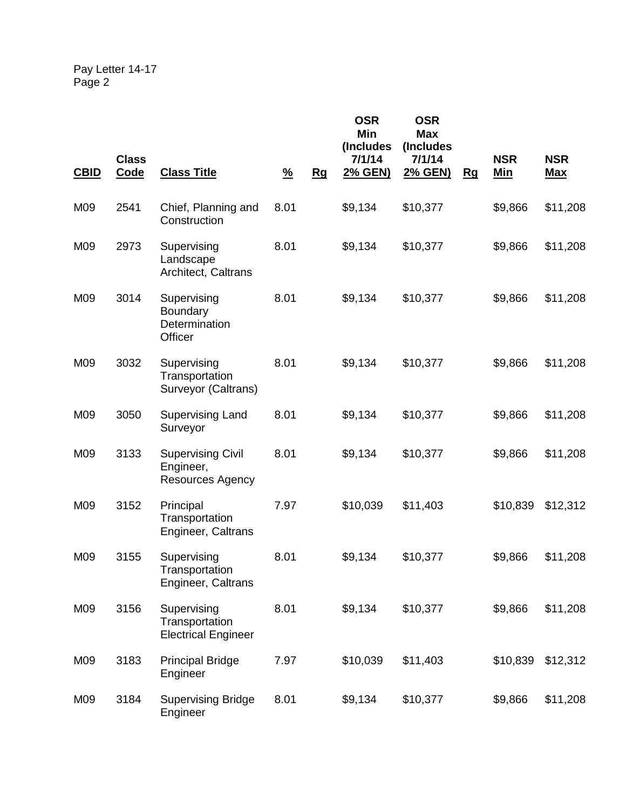| <b>CBID</b> | <b>Class</b><br><b>Code</b> | <b>Class Title</b>                                               | $\frac{9}{6}$ | Rg | <b>OSR</b><br>Min<br>(Includes<br>7/1/14<br>2% GEN) | <b>OSR</b><br><b>Max</b><br>(Includes<br>7/1/14<br><u>2% GEN)</u> | Rg | <b>NSR</b><br><u>Min</u> | <b>NSR</b><br><u>Max</u> |
|-------------|-----------------------------|------------------------------------------------------------------|---------------|----|-----------------------------------------------------|-------------------------------------------------------------------|----|--------------------------|--------------------------|
| M09         | 2541                        | Chief, Planning and<br>Construction                              | 8.01          |    | \$9,134                                             | \$10,377                                                          |    | \$9,866                  | \$11,208                 |
| M09         | 2973                        | Supervising<br>Landscape<br>Architect, Caltrans                  | 8.01          |    | \$9,134                                             | \$10,377                                                          |    | \$9,866                  | \$11,208                 |
| M09         | 3014                        | Supervising<br><b>Boundary</b><br>Determination<br>Officer       | 8.01          |    | \$9,134                                             | \$10,377                                                          |    | \$9,866                  | \$11,208                 |
| M09         | 3032                        | Supervising<br>Transportation<br>Surveyor (Caltrans)             | 8.01          |    | \$9,134                                             | \$10,377                                                          |    | \$9,866                  | \$11,208                 |
| M09         | 3050                        | Supervising Land<br>Surveyor                                     | 8.01          |    | \$9,134                                             | \$10,377                                                          |    | \$9,866                  | \$11,208                 |
| M09         | 3133                        | <b>Supervising Civil</b><br>Engineer,<br><b>Resources Agency</b> | 8.01          |    | \$9,134                                             | \$10,377                                                          |    | \$9,866                  | \$11,208                 |
| M09         | 3152                        | Principal<br>Transportation<br>Engineer, Caltrans                | 7.97          |    | \$10,039                                            | \$11,403                                                          |    | \$10,839                 | \$12,312                 |
| M09         | 3155                        | Supervising<br>Transportation<br>Engineer, Caltrans              | 8.01          |    | \$9,134                                             | \$10,377                                                          |    | \$9,866                  | \$11,208                 |
| M09         | 3156                        | Supervising<br>Transportation<br><b>Electrical Engineer</b>      | 8.01          |    | \$9,134                                             | \$10,377                                                          |    | \$9,866                  | \$11,208                 |
| M09         | 3183                        | <b>Principal Bridge</b><br>Engineer                              | 7.97          |    | \$10,039                                            | \$11,403                                                          |    | \$10,839                 | \$12,312                 |
| M09         | 3184                        | <b>Supervising Bridge</b><br>Engineer                            | 8.01          |    | \$9,134                                             | \$10,377                                                          |    | \$9,866                  | \$11,208                 |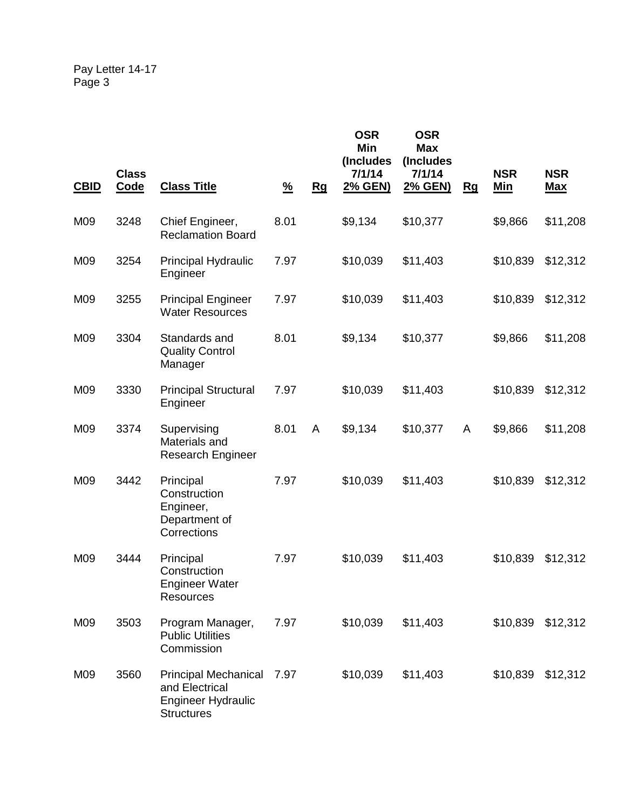| <b>CBID</b> | <b>Class</b><br><b>Code</b> | <b>Class Title</b>                                                                              | $\frac{9}{6}$ | Rg | <b>OSR</b><br>Min<br>(Includes<br>7/1/14<br>2% GEN) | <b>OSR</b><br><b>Max</b><br>(Includes<br>7/1/14<br><u>2% GEN)</u> | Rg | <b>NSR</b><br><u>Min</u> | <b>NSR</b><br><u>Max</u> |
|-------------|-----------------------------|-------------------------------------------------------------------------------------------------|---------------|----|-----------------------------------------------------|-------------------------------------------------------------------|----|--------------------------|--------------------------|
| M09         | 3248                        | Chief Engineer,<br><b>Reclamation Board</b>                                                     | 8.01          |    | \$9,134                                             | \$10,377                                                          |    | \$9,866                  | \$11,208                 |
| M09         | 3254                        | Principal Hydraulic<br>Engineer                                                                 | 7.97          |    | \$10,039                                            | \$11,403                                                          |    | \$10,839                 | \$12,312                 |
| M09         | 3255                        | <b>Principal Engineer</b><br><b>Water Resources</b>                                             | 7.97          |    | \$10,039                                            | \$11,403                                                          |    | \$10,839                 | \$12,312                 |
| M09         | 3304                        | Standards and<br><b>Quality Control</b><br>Manager                                              | 8.01          |    | \$9,134                                             | \$10,377                                                          |    | \$9,866                  | \$11,208                 |
| M09         | 3330                        | <b>Principal Structural</b><br>Engineer                                                         | 7.97          |    | \$10,039                                            | \$11,403                                                          |    | \$10,839                 | \$12,312                 |
| M09         | 3374                        | Supervising<br>Materials and<br><b>Research Engineer</b>                                        | 8.01          | A  | \$9,134                                             | \$10,377                                                          | A  | \$9,866                  | \$11,208                 |
| M09         | 3442                        | Principal<br>Construction<br>Engineer,<br>Department of<br>Corrections                          | 7.97          |    | \$10,039                                            | \$11,403                                                          |    | \$10,839                 | \$12,312                 |
| M09         | 3444                        | Principal<br>Construction<br><b>Engineer Water</b><br>Resources                                 | 7.97          |    | \$10,039                                            | \$11,403                                                          |    | \$10,839                 | \$12,312                 |
| M09         | 3503                        | Program Manager,<br><b>Public Utilities</b><br>Commission                                       | 7.97          |    | \$10,039                                            | \$11,403                                                          |    | \$10,839                 | \$12,312                 |
| M09         | 3560                        | <b>Principal Mechanical</b><br>and Electrical<br><b>Engineer Hydraulic</b><br><b>Structures</b> | 7.97          |    | \$10,039                                            | \$11,403                                                          |    | \$10,839                 | \$12,312                 |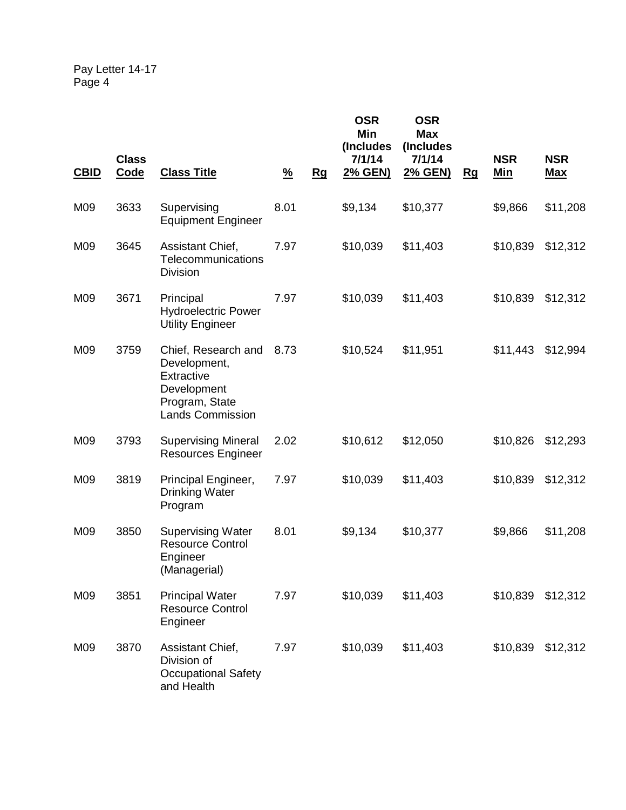| <b>CBID</b> | <b>Class</b><br>Code | <b>Class Title</b>                                                                                            | $\frac{9}{6}$ | Rg | <b>OSR</b><br>Min<br>(Includes<br>7/1/14<br>2% GEN) | <b>OSR</b><br><b>Max</b><br>(Includes<br>7/1/14<br>2% GEN) | Rg | <b>NSR</b><br><u>Min</u> | <b>NSR</b><br><b>Max</b> |
|-------------|----------------------|---------------------------------------------------------------------------------------------------------------|---------------|----|-----------------------------------------------------|------------------------------------------------------------|----|--------------------------|--------------------------|
| M09         | 3633                 | Supervising<br><b>Equipment Engineer</b>                                                                      | 8.01          |    | \$9,134                                             | \$10,377                                                   |    | \$9,866                  | \$11,208                 |
| M09         | 3645                 | Assistant Chief,<br>Telecommunications<br><b>Division</b>                                                     | 7.97          |    | \$10,039                                            | \$11,403                                                   |    | \$10,839                 | \$12,312                 |
| M09         | 3671                 | Principal<br><b>Hydroelectric Power</b><br><b>Utility Engineer</b>                                            | 7.97          |    | \$10,039                                            | \$11,403                                                   |    | \$10,839                 | \$12,312                 |
| M09         | 3759                 | Chief, Research and<br>Development,<br>Extractive<br>Development<br>Program, State<br><b>Lands Commission</b> | 8.73          |    | \$10,524                                            | \$11,951                                                   |    | \$11,443                 | \$12,994                 |
| M09         | 3793                 | <b>Supervising Mineral</b><br><b>Resources Engineer</b>                                                       | 2.02          |    | \$10,612                                            | \$12,050                                                   |    | \$10,826                 | \$12,293                 |
| M09         | 3819                 | Principal Engineer,<br><b>Drinking Water</b><br>Program                                                       | 7.97          |    | \$10,039                                            | \$11,403                                                   |    | \$10,839                 | \$12,312                 |
| M09         | 3850                 | <b>Supervising Water</b><br><b>Resource Control</b><br>Engineer<br>(Managerial)                               | 8.01          |    | \$9,134                                             | \$10,377                                                   |    | \$9,866                  | \$11,208                 |
| M09         | 3851                 | <b>Principal Water</b><br><b>Resource Control</b><br>Engineer                                                 | 7.97          |    | \$10,039                                            | \$11,403                                                   |    | \$10,839                 | \$12,312                 |
| M09         | 3870                 | Assistant Chief,<br>Division of<br><b>Occupational Safety</b><br>and Health                                   | 7.97          |    | \$10,039                                            | \$11,403                                                   |    | \$10,839                 | \$12,312                 |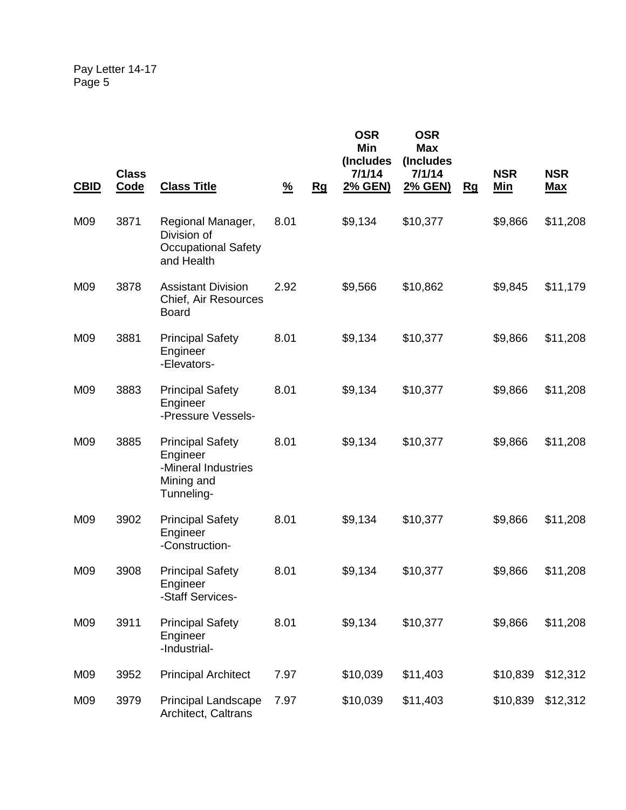| <b>CBID</b> | <b>Class</b><br>Code | <b>Class Title</b>                                                                     | $\frac{9}{6}$ | Rg | <b>OSR</b><br>Min<br>(Includes<br>7/1/14<br>2% GEN) | <b>OSR</b><br><b>Max</b><br>(Includes<br>7/1/14<br>2% GEN) | Rg | <b>NSR</b><br>Min | <b>NSR</b><br><u>Max</u> |
|-------------|----------------------|----------------------------------------------------------------------------------------|---------------|----|-----------------------------------------------------|------------------------------------------------------------|----|-------------------|--------------------------|
| M09         | 3871                 | Regional Manager,<br>Division of<br><b>Occupational Safety</b><br>and Health           | 8.01          |    | \$9,134                                             | \$10,377                                                   |    | \$9,866           | \$11,208                 |
| M09         | 3878                 | <b>Assistant Division</b><br>Chief, Air Resources<br><b>Board</b>                      | 2.92          |    | \$9,566                                             | \$10,862                                                   |    | \$9,845           | \$11,179                 |
| M09         | 3881                 | <b>Principal Safety</b><br>Engineer<br>-Elevators-                                     | 8.01          |    | \$9,134                                             | \$10,377                                                   |    | \$9,866           | \$11,208                 |
| M09         | 3883                 | <b>Principal Safety</b><br>Engineer<br>-Pressure Vessels-                              | 8.01          |    | \$9,134                                             | \$10,377                                                   |    | \$9,866           | \$11,208                 |
| M09         | 3885                 | <b>Principal Safety</b><br>Engineer<br>-Mineral Industries<br>Mining and<br>Tunneling- | 8.01          |    | \$9,134                                             | \$10,377                                                   |    | \$9,866           | \$11,208                 |
| M09         | 3902                 | <b>Principal Safety</b><br>Engineer<br>-Construction-                                  | 8.01          |    | \$9,134                                             | \$10,377                                                   |    | \$9,866           | \$11,208                 |
| M09         | 3908                 | <b>Principal Safety</b><br>Engineer<br>-Staff Services-                                | 8.01          |    | \$9,134                                             | \$10,377                                                   |    | \$9,866           | \$11,208                 |
| M09         | 3911                 | <b>Principal Safety</b><br>Engineer<br>-Industrial-                                    | 8.01          |    | \$9,134                                             | \$10,377                                                   |    | \$9,866           | \$11,208                 |
| M09         | 3952                 | <b>Principal Architect</b>                                                             | 7.97          |    | \$10,039                                            | \$11,403                                                   |    | \$10,839          | \$12,312                 |
| M09         | 3979                 | <b>Principal Landscape</b><br>Architect, Caltrans                                      | 7.97          |    | \$10,039                                            | \$11,403                                                   |    | \$10,839          | \$12,312                 |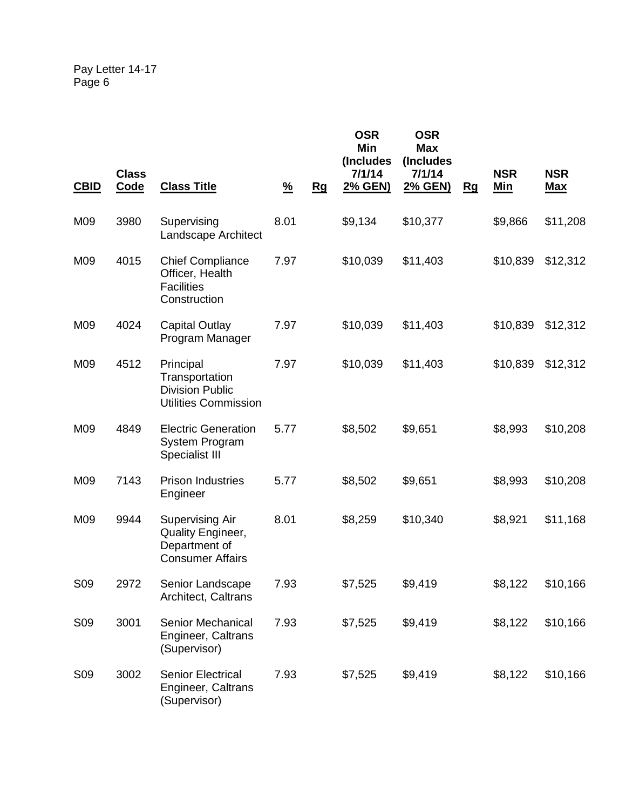| <b>CBID</b>     | <b>Class</b><br>Code | <b>Class Title</b>                                                                      | $\frac{9}{6}$ | <u>Rg</u> | <b>OSR</b><br>Min<br>(Includes<br>7/1/14<br>2% GEN) | <b>OSR</b><br><b>Max</b><br>(Includes<br>7/1/14<br><u>2% GEN)</u> | Rg | <b>NSR</b><br><u>Min</u> | <b>NSR</b><br><b>Max</b> |
|-----------------|----------------------|-----------------------------------------------------------------------------------------|---------------|-----------|-----------------------------------------------------|-------------------------------------------------------------------|----|--------------------------|--------------------------|
| M09             | 3980                 | Supervising<br>Landscape Architect                                                      | 8.01          |           | \$9,134                                             | \$10,377                                                          |    | \$9,866                  | \$11,208                 |
| M09             | 4015                 | <b>Chief Compliance</b><br>Officer, Health<br><b>Facilities</b><br>Construction         | 7.97          |           | \$10,039                                            | \$11,403                                                          |    | \$10,839                 | \$12,312                 |
| M09             | 4024                 | <b>Capital Outlay</b><br>Program Manager                                                | 7.97          |           | \$10,039                                            | \$11,403                                                          |    | \$10,839                 | \$12,312                 |
| M09             | 4512                 | Principal<br>Transportation<br><b>Division Public</b><br><b>Utilities Commission</b>    | 7.97          |           | \$10,039                                            | \$11,403                                                          |    | \$10,839                 | \$12,312                 |
| M09             | 4849                 | <b>Electric Generation</b><br>System Program<br>Specialist III                          | 5.77          |           | \$8,502                                             | \$9,651                                                           |    | \$8,993                  | \$10,208                 |
| M09             | 7143                 | <b>Prison Industries</b><br>Engineer                                                    | 5.77          |           | \$8,502                                             | \$9,651                                                           |    | \$8,993                  | \$10,208                 |
| M09             | 9944                 | <b>Supervising Air</b><br>Quality Engineer,<br>Department of<br><b>Consumer Affairs</b> | 8.01          |           | \$8,259                                             | \$10,340                                                          |    | \$8,921                  | \$11,168                 |
| S <sub>09</sub> | 2972                 | Senior Landscape<br>Architect, Caltrans                                                 | 7.93          |           | \$7,525                                             | \$9,419                                                           |    | \$8,122                  | \$10,166                 |
| S <sub>09</sub> | 3001                 | Senior Mechanical<br>Engineer, Caltrans<br>(Supervisor)                                 | 7.93          |           | \$7,525                                             | \$9,419                                                           |    | \$8,122                  | \$10,166                 |
| S <sub>09</sub> | 3002                 | <b>Senior Electrical</b><br>Engineer, Caltrans<br>(Supervisor)                          | 7.93          |           | \$7,525                                             | \$9,419                                                           |    | \$8,122                  | \$10,166                 |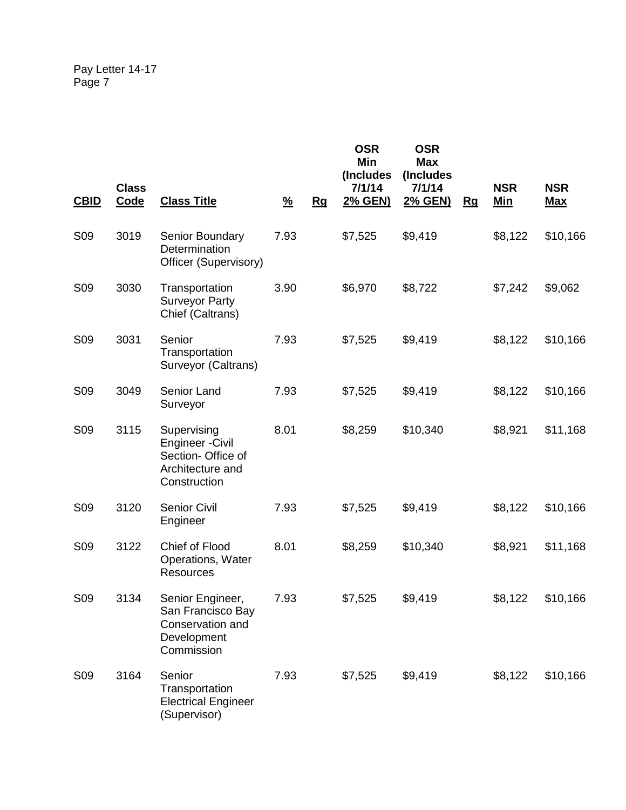| <b>CBID</b>     | <b>Class</b><br><b>Code</b> | <b>Class Title</b>                                                                               | $\frac{9}{6}$ | Rg | <b>OSR</b><br>Min<br>(Includes<br>7/1/14<br>2% GEN) | <b>OSR</b><br><b>Max</b><br>(Includes<br>7/1/14<br><u>2% GEN)</u> | Rg | <b>NSR</b><br><u>Min</u> | <b>NSR</b><br><u>Max</u> |
|-----------------|-----------------------------|--------------------------------------------------------------------------------------------------|---------------|----|-----------------------------------------------------|-------------------------------------------------------------------|----|--------------------------|--------------------------|
| <b>S09</b>      | 3019                        | <b>Senior Boundary</b><br>Determination<br>Officer (Supervisory)                                 | 7.93          |    | \$7,525                                             | \$9,419                                                           |    | \$8,122                  | \$10,166                 |
| S <sub>09</sub> | 3030                        | Transportation<br><b>Surveyor Party</b><br>Chief (Caltrans)                                      | 3.90          |    | \$6,970                                             | \$8,722                                                           |    | \$7,242                  | \$9,062                  |
| S <sub>09</sub> | 3031                        | Senior<br>Transportation<br>Surveyor (Caltrans)                                                  | 7.93          |    | \$7,525                                             | \$9,419                                                           |    | \$8,122                  | \$10,166                 |
| S <sub>09</sub> | 3049                        | Senior Land<br>Surveyor                                                                          | 7.93          |    | \$7,525                                             | \$9,419                                                           |    | \$8,122                  | \$10,166                 |
| <b>S09</b>      | 3115                        | Supervising<br><b>Engineer - Civil</b><br>Section- Office of<br>Architecture and<br>Construction | 8.01          |    | \$8,259                                             | \$10,340                                                          |    | \$8,921                  | \$11,168                 |
| S <sub>09</sub> | 3120                        | <b>Senior Civil</b><br>Engineer                                                                  | 7.93          |    | \$7,525                                             | \$9,419                                                           |    | \$8,122                  | \$10,166                 |
| <b>S09</b>      | 3122                        | Chief of Flood<br>Operations, Water<br>Resources                                                 | 8.01          |    | \$8,259                                             | \$10,340                                                          |    | \$8,921                  | \$11,168                 |
| S <sub>09</sub> | 3134                        | Senior Engineer,<br>San Francisco Bay<br>Conservation and<br>Development<br>Commission           | 7.93          |    | \$7,525                                             | \$9,419                                                           |    | \$8,122                  | \$10,166                 |
| <b>S09</b>      | 3164                        | Senior<br>Transportation<br><b>Electrical Engineer</b><br>(Supervisor)                           | 7.93          |    | \$7,525                                             | \$9,419                                                           |    | \$8,122                  | \$10,166                 |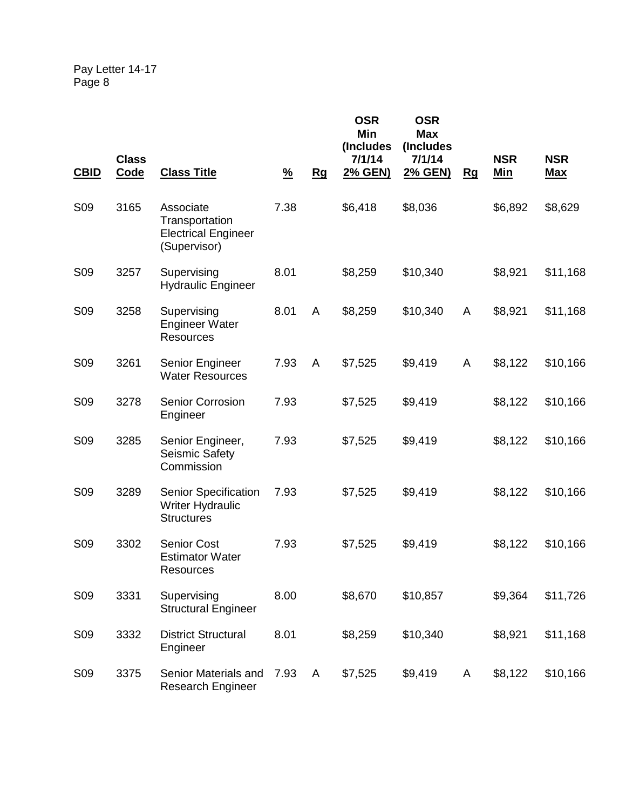| <b>CBID</b>     | <b>Class</b><br><b>Code</b> | <b>Class Title</b>                                                        | $\frac{9}{6}$ | Rg | <b>OSR</b><br>Min<br>(Includes<br>7/1/14<br>2% GEN) | <b>OSR</b><br><b>Max</b><br>(Includes<br>7/1/14<br>2% GEN) | <u>Rg</u> | <b>NSR</b><br><u>Min</u> | <b>NSR</b><br><b>Max</b> |
|-----------------|-----------------------------|---------------------------------------------------------------------------|---------------|----|-----------------------------------------------------|------------------------------------------------------------|-----------|--------------------------|--------------------------|
| <b>S09</b>      | 3165                        | Associate<br>Transportation<br><b>Electrical Engineer</b><br>(Supervisor) | 7.38          |    | \$6,418                                             | \$8,036                                                    |           | \$6,892                  | \$8,629                  |
| <b>S09</b>      | 3257                        | Supervising<br><b>Hydraulic Engineer</b>                                  | 8.01          |    | \$8,259                                             | \$10,340                                                   |           | \$8,921                  | \$11,168                 |
| S <sub>09</sub> | 3258                        | Supervising<br><b>Engineer Water</b><br>Resources                         | 8.01          | A  | \$8,259                                             | \$10,340                                                   | A         | \$8,921                  | \$11,168                 |
| <b>S09</b>      | 3261                        | Senior Engineer<br><b>Water Resources</b>                                 | 7.93          | A  | \$7,525                                             | \$9,419                                                    | A         | \$8,122                  | \$10,166                 |
| S <sub>09</sub> | 3278                        | <b>Senior Corrosion</b><br>Engineer                                       | 7.93          |    | \$7,525                                             | \$9,419                                                    |           | \$8,122                  | \$10,166                 |
| S <sub>09</sub> | 3285                        | Senior Engineer,<br>Seismic Safety<br>Commission                          | 7.93          |    | \$7,525                                             | \$9,419                                                    |           | \$8,122                  | \$10,166                 |
| <b>S09</b>      | 3289                        | Senior Specification<br><b>Writer Hydraulic</b><br><b>Structures</b>      | 7.93          |    | \$7,525                                             | \$9,419                                                    |           | \$8,122                  | \$10,166                 |
| <b>S09</b>      | 3302                        | <b>Senior Cost</b><br><b>Estimator Water</b><br>Resources                 | 7.93          |    | \$7,525                                             | \$9,419                                                    |           | \$8,122                  | \$10,166                 |
| S <sub>09</sub> | 3331                        | Supervising<br><b>Structural Engineer</b>                                 | 8.00          |    | \$8,670                                             | \$10,857                                                   |           | \$9,364                  | \$11,726                 |
| S09             | 3332                        | <b>District Structural</b><br>Engineer                                    | 8.01          |    | \$8,259                                             | \$10,340                                                   |           | \$8,921                  | \$11,168                 |
| S <sub>09</sub> | 3375                        | Senior Materials and<br><b>Research Engineer</b>                          | 7.93          | A  | \$7,525                                             | \$9,419                                                    | A         | \$8,122                  | \$10,166                 |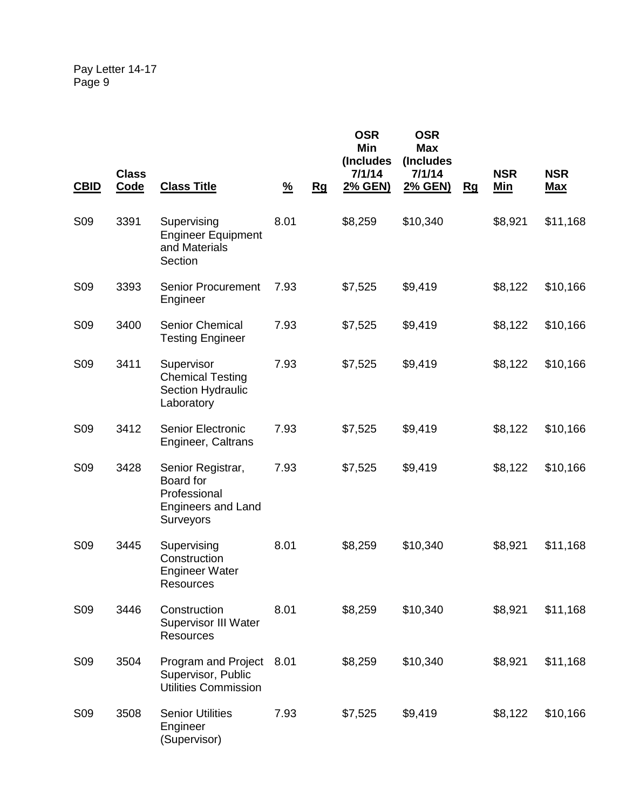| <b>CBID</b>     | <b>Class</b><br><b>Code</b> | <b>Class Title</b>                                                                       | $\frac{9}{6}$ | Rg | <b>OSR</b><br>Min<br>(Includes<br>7/1/14<br>2% GEN) | <b>OSR</b><br><b>Max</b><br>(Includes<br>7/1/14<br>2% GEN) | Rg | <b>NSR</b><br><u>Min</u> | <b>NSR</b><br><b>Max</b> |
|-----------------|-----------------------------|------------------------------------------------------------------------------------------|---------------|----|-----------------------------------------------------|------------------------------------------------------------|----|--------------------------|--------------------------|
|                 |                             |                                                                                          |               |    |                                                     |                                                            |    |                          |                          |
| S <sub>09</sub> | 3391                        | Supervising<br><b>Engineer Equipment</b><br>and Materials<br>Section                     | 8.01          |    | \$8,259                                             | \$10,340                                                   |    | \$8,921                  | \$11,168                 |
| S <sub>09</sub> | 3393                        | <b>Senior Procurement</b><br>Engineer                                                    | 7.93          |    | \$7,525                                             | \$9,419                                                    |    | \$8,122                  | \$10,166                 |
| S <sub>09</sub> | 3400                        | Senior Chemical<br><b>Testing Engineer</b>                                               | 7.93          |    | \$7,525                                             | \$9,419                                                    |    | \$8,122                  | \$10,166                 |
| <b>S09</b>      | 3411                        | Supervisor<br><b>Chemical Testing</b><br>Section Hydraulic<br>Laboratory                 | 7.93          |    | \$7,525                                             | \$9,419                                                    |    | \$8,122                  | \$10,166                 |
| S <sub>09</sub> | 3412                        | <b>Senior Electronic</b><br>Engineer, Caltrans                                           | 7.93          |    | \$7,525                                             | \$9,419                                                    |    | \$8,122                  | \$10,166                 |
| <b>S09</b>      | 3428                        | Senior Registrar,<br>Board for<br>Professional<br><b>Engineers and Land</b><br>Surveyors | 7.93          |    | \$7,525                                             | \$9,419                                                    |    | \$8,122                  | \$10,166                 |
| S <sub>09</sub> | 3445                        | Supervising<br>Construction<br><b>Engineer Water</b><br>Resources                        | 8.01          |    | \$8,259                                             | \$10,340                                                   |    | \$8,921                  | \$11,168                 |
| S09             | 3446                        | Construction<br><b>Supervisor III Water</b><br>Resources                                 | 8.01          |    | \$8,259                                             | \$10,340                                                   |    | \$8,921                  | \$11,168                 |
| S <sub>09</sub> | 3504                        | Program and Project<br>Supervisor, Public<br><b>Utilities Commission</b>                 | 8.01          |    | \$8,259                                             | \$10,340                                                   |    | \$8,921                  | \$11,168                 |
| S09             | 3508                        | <b>Senior Utilities</b><br>Engineer<br>(Supervisor)                                      | 7.93          |    | \$7,525                                             | \$9,419                                                    |    | \$8,122                  | \$10,166                 |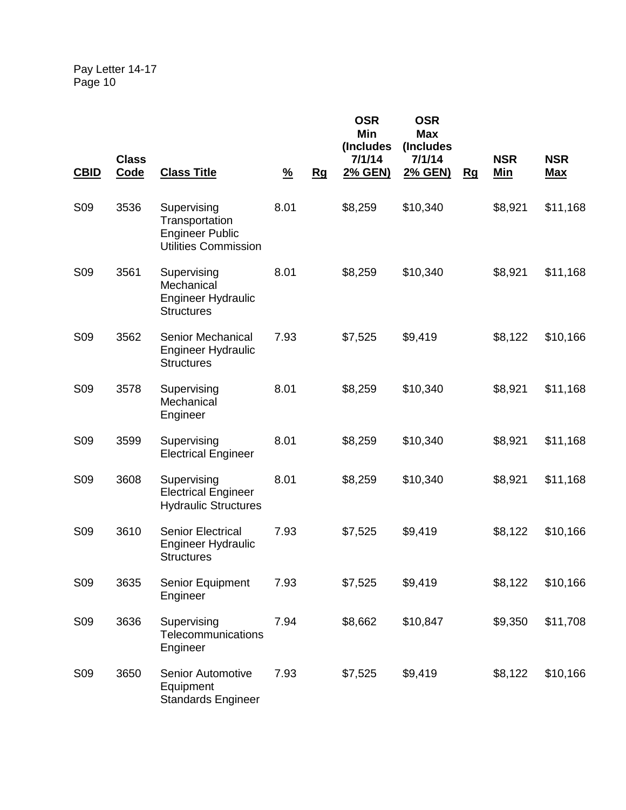| <b>CBID</b>     | <b>Class</b><br>Code | <b>Class Title</b>                                                                     | $\frac{9}{6}$ | Rg | <b>OSR</b><br><b>Min</b><br>(Includes<br>7/1/14<br>2% GEN) | <b>OSR</b><br><b>Max</b><br>(Includes<br>7/1/14<br>2% GEN) | Rg | <b>NSR</b><br>Min | <b>NSR</b><br><u>Max</u> |
|-----------------|----------------------|----------------------------------------------------------------------------------------|---------------|----|------------------------------------------------------------|------------------------------------------------------------|----|-------------------|--------------------------|
| S <sub>09</sub> | 3536                 | Supervising<br>Transportation<br><b>Engineer Public</b><br><b>Utilities Commission</b> | 8.01          |    | \$8,259                                                    | \$10,340                                                   |    | \$8,921           | \$11,168                 |
| S <sub>09</sub> | 3561                 | Supervising<br>Mechanical<br><b>Engineer Hydraulic</b><br><b>Structures</b>            | 8.01          |    | \$8,259                                                    | \$10,340                                                   |    | \$8,921           | \$11,168                 |
| S <sub>09</sub> | 3562                 | <b>Senior Mechanical</b><br><b>Engineer Hydraulic</b><br><b>Structures</b>             | 7.93          |    | \$7,525                                                    | \$9,419                                                    |    | \$8,122           | \$10,166                 |
| <b>S09</b>      | 3578                 | Supervising<br>Mechanical<br>Engineer                                                  | 8.01          |    | \$8,259                                                    | \$10,340                                                   |    | \$8,921           | \$11,168                 |
| S <sub>09</sub> | 3599                 | Supervising<br><b>Electrical Engineer</b>                                              | 8.01          |    | \$8,259                                                    | \$10,340                                                   |    | \$8,921           | \$11,168                 |
| <b>S09</b>      | 3608                 | Supervising<br><b>Electrical Engineer</b><br><b>Hydraulic Structures</b>               | 8.01          |    | \$8,259                                                    | \$10,340                                                   |    | \$8,921           | \$11,168                 |
| S <sub>09</sub> | 3610                 | <b>Senior Electrical</b><br><b>Engineer Hydraulic</b><br><b>Structures</b>             | 7.93          |    | \$7,525                                                    | \$9,419                                                    |    | \$8,122           | \$10,166                 |
| S09             | 3635                 | Senior Equipment<br>Engineer                                                           | 7.93          |    | \$7,525                                                    | \$9,419                                                    |    | \$8,122           | \$10,166                 |
| S09             | 3636                 | Supervising<br>Telecommunications<br>Engineer                                          | 7.94          |    | \$8,662                                                    | \$10,847                                                   |    | \$9,350           | \$11,708                 |
| S09             | 3650                 | <b>Senior Automotive</b><br>Equipment<br><b>Standards Engineer</b>                     | 7.93          |    | \$7,525                                                    | \$9,419                                                    |    | \$8,122           | \$10,166                 |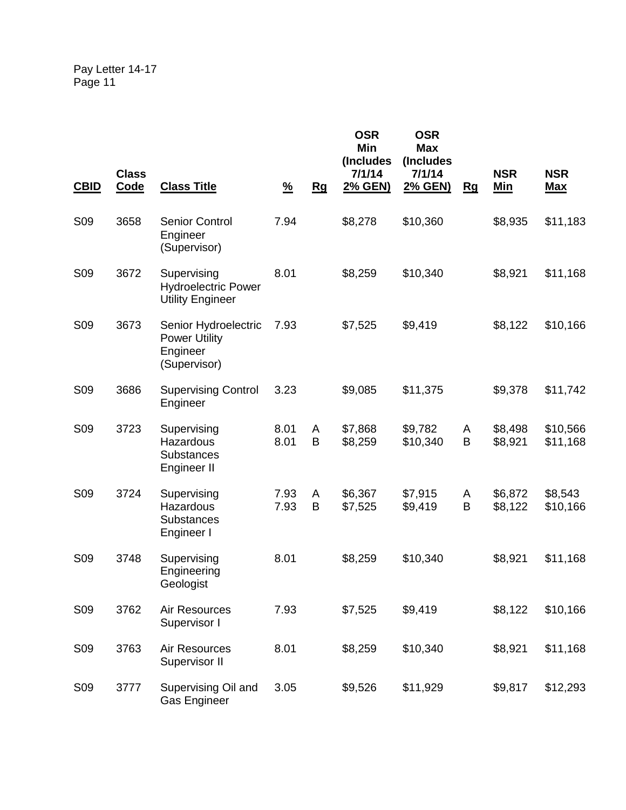| <b>CBID</b>     | <b>Class</b><br>Code | <b>Class Title</b>                                                       | $\frac{9}{6}$ | Rg     | <b>OSR</b><br>Min<br>(Includes<br>7/1/14<br>2% GEN) | <b>OSR</b><br><b>Max</b><br>(Includes<br>7/1/14<br><u>2% GEN)</u> | Rg     | <b>NSR</b><br><u>Min</u> | <b>NSR</b><br><b>Max</b> |
|-----------------|----------------------|--------------------------------------------------------------------------|---------------|--------|-----------------------------------------------------|-------------------------------------------------------------------|--------|--------------------------|--------------------------|
| <b>S09</b>      | 3658                 | <b>Senior Control</b><br>Engineer<br>(Supervisor)                        | 7.94          |        | \$8,278                                             | \$10,360                                                          |        | \$8,935                  | \$11,183                 |
| <b>S09</b>      | 3672                 | Supervising<br><b>Hydroelectric Power</b><br><b>Utility Engineer</b>     | 8.01          |        | \$8,259                                             | \$10,340                                                          |        | \$8,921                  | \$11,168                 |
| <b>S09</b>      | 3673                 | Senior Hydroelectric<br><b>Power Utility</b><br>Engineer<br>(Supervisor) | 7.93          |        | \$7,525                                             | \$9,419                                                           |        | \$8,122                  | \$10,166                 |
| S <sub>09</sub> | 3686                 | <b>Supervising Control</b><br>Engineer                                   | 3.23          |        | \$9,085                                             | \$11,375                                                          |        | \$9,378                  | \$11,742                 |
| <b>S09</b>      | 3723                 | Supervising<br>Hazardous<br><b>Substances</b><br>Engineer II             | 8.01<br>8.01  | A<br>B | \$7,868<br>\$8,259                                  | \$9,782<br>\$10,340                                               | A<br>B | \$8,498<br>\$8,921       | \$10,566<br>\$11,168     |
| <b>S09</b>      | 3724                 | Supervising<br>Hazardous<br><b>Substances</b><br>Engineer I              | 7.93<br>7.93  | A<br>B | \$6,367<br>\$7,525                                  | \$7,915<br>\$9,419                                                | A<br>B | \$6,872<br>\$8,122       | \$8,543<br>\$10,166      |
| <b>S09</b>      | 3748                 | Supervising<br>Engineering<br>Geologist                                  | 8.01          |        | \$8,259                                             | \$10,340                                                          |        | \$8,921                  | \$11,168                 |
| S09             | 3762                 | Air Resources<br>Supervisor I                                            | 7.93          |        | \$7,525                                             | \$9,419                                                           |        | \$8,122                  | \$10,166                 |
| S <sub>09</sub> | 3763                 | Air Resources<br>Supervisor II                                           | 8.01          |        | \$8,259                                             | \$10,340                                                          |        | \$8,921                  | \$11,168                 |
| S <sub>09</sub> | 3777                 | Supervising Oil and<br><b>Gas Engineer</b>                               | 3.05          |        | \$9,526                                             | \$11,929                                                          |        | \$9,817                  | \$12,293                 |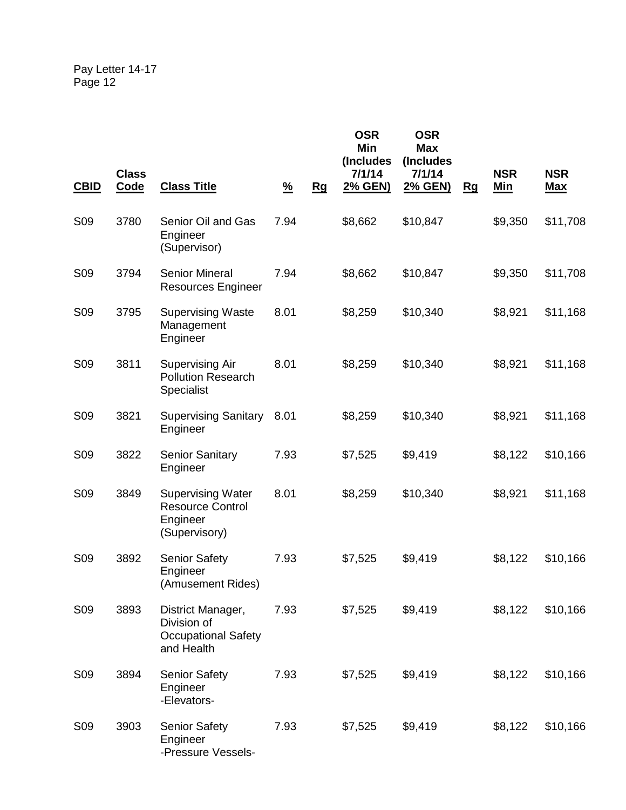| <b>CBID</b>     | <b>Class</b><br><b>Code</b> | <b>Class Title</b>                                                               | $\frac{9}{6}$ | Rg | <b>OSR</b><br>Min<br>(Includes<br>7/1/14<br>2% GEN) | <b>OSR</b><br><b>Max</b><br>(Includes<br>7/1/14<br>2% GEN) | <u>Rg</u> | <b>NSR</b><br><u>Min</u> | <b>NSR</b><br><b>Max</b> |
|-----------------|-----------------------------|----------------------------------------------------------------------------------|---------------|----|-----------------------------------------------------|------------------------------------------------------------|-----------|--------------------------|--------------------------|
| <b>S09</b>      | 3780                        | Senior Oil and Gas<br>Engineer<br>(Supervisor)                                   | 7.94          |    | \$8,662                                             | \$10,847                                                   |           | \$9,350                  | \$11,708                 |
| S <sub>09</sub> | 3794                        | <b>Senior Mineral</b><br><b>Resources Engineer</b>                               | 7.94          |    | \$8,662                                             | \$10,847                                                   |           | \$9,350                  | \$11,708                 |
| <b>S09</b>      | 3795                        | <b>Supervising Waste</b><br>Management<br>Engineer                               | 8.01          |    | \$8,259                                             | \$10,340                                                   |           | \$8,921                  | \$11,168                 |
| <b>S09</b>      | 3811                        | <b>Supervising Air</b><br><b>Pollution Research</b><br>Specialist                | 8.01          |    | \$8,259                                             | \$10,340                                                   |           | \$8,921                  | \$11,168                 |
| S <sub>09</sub> | 3821                        | <b>Supervising Sanitary</b><br>Engineer                                          | 8.01          |    | \$8,259                                             | \$10,340                                                   |           | \$8,921                  | \$11,168                 |
| S <sub>09</sub> | 3822                        | <b>Senior Sanitary</b><br>Engineer                                               | 7.93          |    | \$7,525                                             | \$9,419                                                    |           | \$8,122                  | \$10,166                 |
| <b>S09</b>      | 3849                        | <b>Supervising Water</b><br><b>Resource Control</b><br>Engineer<br>(Supervisory) | 8.01          |    | \$8,259                                             | \$10,340                                                   |           | \$8,921                  | \$11,168                 |
| S <sub>09</sub> | 3892                        | <b>Senior Safety</b><br>Engineer<br>(Amusement Rides)                            | 7.93          |    | \$7,525                                             | \$9,419                                                    |           | \$8,122                  | \$10,166                 |
| <b>S09</b>      | 3893                        | District Manager,<br>Division of<br><b>Occupational Safety</b><br>and Health     | 7.93          |    | \$7,525                                             | \$9,419                                                    |           | \$8,122                  | \$10,166                 |
| S <sub>09</sub> | 3894                        | <b>Senior Safety</b><br>Engineer<br>-Elevators-                                  | 7.93          |    | \$7,525                                             | \$9,419                                                    |           | \$8,122                  | \$10,166                 |
| S <sub>09</sub> | 3903                        | <b>Senior Safety</b><br>Engineer<br>-Pressure Vessels-                           | 7.93          |    | \$7,525                                             | \$9,419                                                    |           | \$8,122                  | \$10,166                 |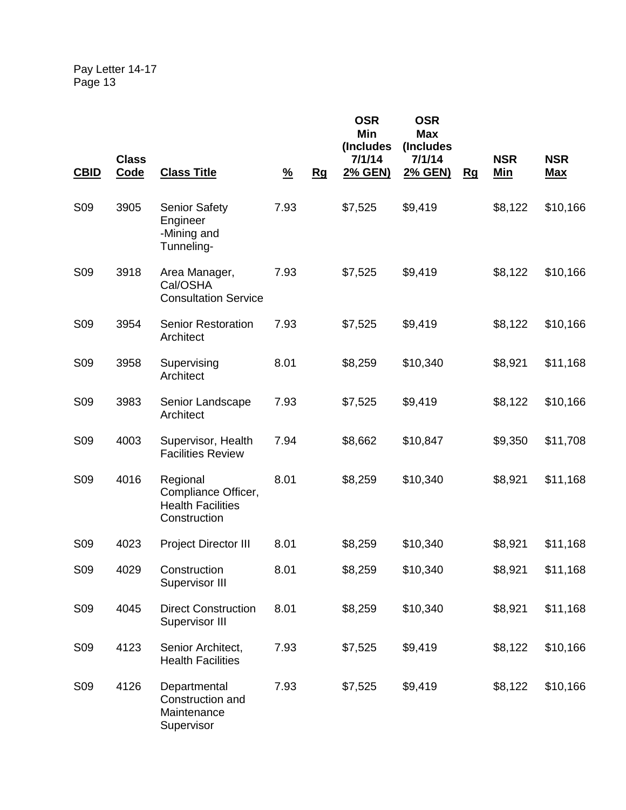| <b>CBID</b>     | <b>Class</b><br><b>Code</b> | <b>Class Title</b>                                                          | $\frac{9}{6}$ | Rg | <b>OSR</b><br>Min<br>(Includes<br>7/1/14<br>2% GEN) | <b>OSR</b><br><b>Max</b><br>(Includes<br>7/1/14<br>2% GEN) | <u>Rg</u> | <b>NSR</b><br><u>Min</u> | <b>NSR</b><br><b>Max</b> |
|-----------------|-----------------------------|-----------------------------------------------------------------------------|---------------|----|-----------------------------------------------------|------------------------------------------------------------|-----------|--------------------------|--------------------------|
| <b>S09</b>      | 3905                        | <b>Senior Safety</b><br>Engineer<br>-Mining and<br>Tunneling-               | 7.93          |    | \$7,525                                             | \$9,419                                                    |           | \$8,122                  | \$10,166                 |
| <b>S09</b>      | 3918                        | Area Manager,<br>Cal/OSHA<br><b>Consultation Service</b>                    | 7.93          |    | \$7,525                                             | \$9,419                                                    |           | \$8,122                  | \$10,166                 |
| <b>S09</b>      | 3954                        | <b>Senior Restoration</b><br>Architect                                      | 7.93          |    | \$7,525                                             | \$9,419                                                    |           | \$8,122                  | \$10,166                 |
| <b>S09</b>      | 3958                        | Supervising<br>Architect                                                    | 8.01          |    | \$8,259                                             | \$10,340                                                   |           | \$8,921                  | \$11,168                 |
| S <sub>09</sub> | 3983                        | Senior Landscape<br>Architect                                               | 7.93          |    | \$7,525                                             | \$9,419                                                    |           | \$8,122                  | \$10,166                 |
| S <sub>09</sub> | 4003                        | Supervisor, Health<br><b>Facilities Review</b>                              | 7.94          |    | \$8,662                                             | \$10,847                                                   |           | \$9,350                  | \$11,708                 |
| <b>S09</b>      | 4016                        | Regional<br>Compliance Officer,<br><b>Health Facilities</b><br>Construction | 8.01          |    | \$8,259                                             | \$10,340                                                   |           | \$8,921                  | \$11,168                 |
| <b>S09</b>      | 4023                        | <b>Project Director III</b>                                                 | 8.01          |    | \$8,259                                             | \$10,340                                                   |           | \$8,921                  | \$11,168                 |
| S <sub>09</sub> | 4029                        | Construction<br>Supervisor III                                              | 8.01          |    | \$8,259                                             | \$10,340                                                   |           | \$8,921                  | \$11,168                 |
| S09             | 4045                        | <b>Direct Construction</b><br>Supervisor III                                | 8.01          |    | \$8,259                                             | \$10,340                                                   |           | \$8,921                  | \$11,168                 |
| S <sub>09</sub> | 4123                        | Senior Architect,<br><b>Health Facilities</b>                               | 7.93          |    | \$7,525                                             | \$9,419                                                    |           | \$8,122                  | \$10,166                 |
| S <sub>09</sub> | 4126                        | Departmental<br>Construction and<br>Maintenance<br>Supervisor               | 7.93          |    | \$7,525                                             | \$9,419                                                    |           | \$8,122                  | \$10,166                 |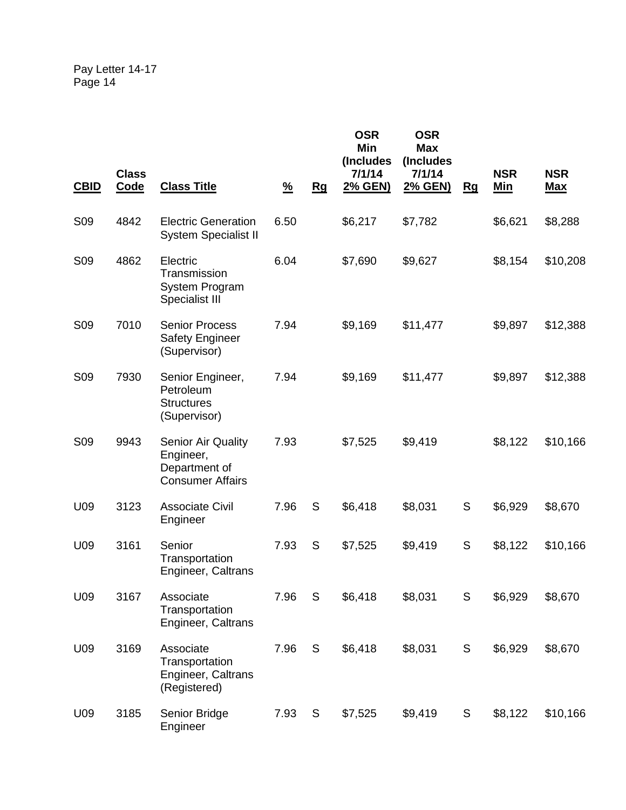| <b>CBID</b>     | <b>Class</b><br><b>Code</b> | <b>Class Title</b>                                                                 | $\frac{9}{6}$ | Rg | <b>OSR</b><br>Min<br>(Includes<br>7/1/14<br>2% GEN) | <b>OSR</b><br><b>Max</b><br>(Includes<br>7/1/14<br>2% GEN) | Rg          | <b>NSR</b><br><u>Min</u> | <b>NSR</b><br><b>Max</b> |
|-----------------|-----------------------------|------------------------------------------------------------------------------------|---------------|----|-----------------------------------------------------|------------------------------------------------------------|-------------|--------------------------|--------------------------|
| S <sub>09</sub> | 4842                        | <b>Electric Generation</b><br><b>System Specialist II</b>                          | 6.50          |    | \$6,217                                             | \$7,782                                                    |             | \$6,621                  | \$8,288                  |
| <b>S09</b>      | 4862                        | Electric<br>Transmission<br>System Program<br>Specialist III                       | 6.04          |    | \$7,690                                             | \$9,627                                                    |             | \$8,154                  | \$10,208                 |
| S <sub>09</sub> | 7010                        | <b>Senior Process</b><br><b>Safety Engineer</b><br>(Supervisor)                    | 7.94          |    | \$9,169                                             | \$11,477                                                   |             | \$9,897                  | \$12,388                 |
| <b>S09</b>      | 7930                        | Senior Engineer,<br>Petroleum<br><b>Structures</b><br>(Supervisor)                 | 7.94          |    | \$9,169                                             | \$11,477                                                   |             | \$9,897                  | \$12,388                 |
| S <sub>09</sub> | 9943                        | <b>Senior Air Quality</b><br>Engineer,<br>Department of<br><b>Consumer Affairs</b> | 7.93          |    | \$7,525                                             | \$9,419                                                    |             | \$8,122                  | \$10,166                 |
| U09             | 3123                        | <b>Associate Civil</b><br>Engineer                                                 | 7.96          | S  | \$6,418                                             | \$8,031                                                    | S           | \$6,929                  | \$8,670                  |
| U09             | 3161                        | Senior<br>Transportation<br><b>Engineer, Caltrans</b>                              | 7.93          | S  | \$7,525                                             | \$9,419                                                    | S           | \$8,122                  | \$10,166                 |
| U09             | 3167                        | Associate<br>Transportation<br>Engineer, Caltrans                                  | 7.96          | S  | \$6,418                                             | \$8,031                                                    | S           | \$6,929                  | \$8,670                  |
| U09             | 3169                        | Associate<br>Transportation<br>Engineer, Caltrans<br>(Registered)                  | 7.96          | S  | \$6,418                                             | \$8,031                                                    | $\mathsf S$ | \$6,929                  | \$8,670                  |
| U09             | 3185                        | Senior Bridge<br>Engineer                                                          | 7.93          | S  | \$7,525                                             | \$9,419                                                    | S           | \$8,122                  | \$10,166                 |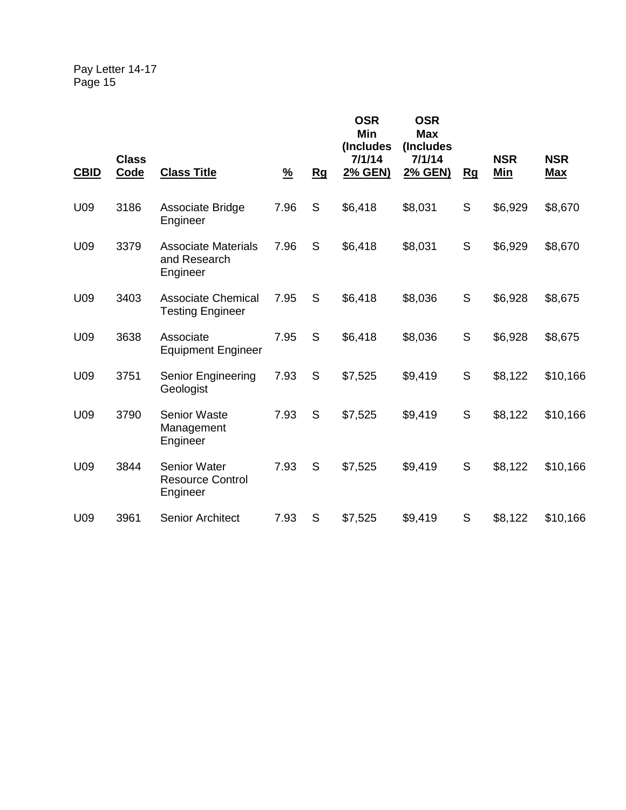|             |                             |                                                            |               |    | <b>OSR</b><br><b>Min</b><br>(Includes | <b>OSR</b><br><b>Max</b><br>(Includes |     |                          |                          |
|-------------|-----------------------------|------------------------------------------------------------|---------------|----|---------------------------------------|---------------------------------------|-----|--------------------------|--------------------------|
| <b>CBID</b> | <b>Class</b><br><b>Code</b> | <b>Class Title</b>                                         | $\frac{9}{6}$ | Rg | 7/1/14<br>2% GEN)                     | 7/1/14<br>2% GEN)                     | $g$ | <b>NSR</b><br><b>Min</b> | <b>NSR</b><br><u>Max</u> |
| U09         | 3186                        | Associate Bridge<br>Engineer                               | 7.96          | S  | \$6,418                               | \$8,031                               | S   | \$6,929                  | \$8,670                  |
| U09         | 3379                        | <b>Associate Materials</b><br>and Research<br>Engineer     | 7.96          | S  | \$6,418                               | \$8,031                               | S   | \$6,929                  | \$8,670                  |
| U09         | 3403                        | <b>Associate Chemical</b><br><b>Testing Engineer</b>       | 7.95          | S  | \$6,418                               | \$8,036                               | S   | \$6,928                  | \$8,675                  |
| U09         | 3638                        | Associate<br><b>Equipment Engineer</b>                     | 7.95          | S  | \$6,418                               | \$8,036                               | S   | \$6,928                  | \$8,675                  |
| U09         | 3751                        | <b>Senior Engineering</b><br>Geologist                     | 7.93          | S  | \$7,525                               | \$9,419                               | S   | \$8,122                  | \$10,166                 |
| U09         | 3790                        | <b>Senior Waste</b><br>Management<br>Engineer              | 7.93          | S  | \$7,525                               | \$9,419                               | S   | \$8,122                  | \$10,166                 |
| U09         | 3844                        | <b>Senior Water</b><br><b>Resource Control</b><br>Engineer | 7.93          | S  | \$7,525                               | \$9,419                               | S   | \$8,122                  | \$10,166                 |
| U09         | 3961                        | <b>Senior Architect</b>                                    | 7.93          | S  | \$7,525                               | \$9,419                               | S   | \$8,122                  | \$10,166                 |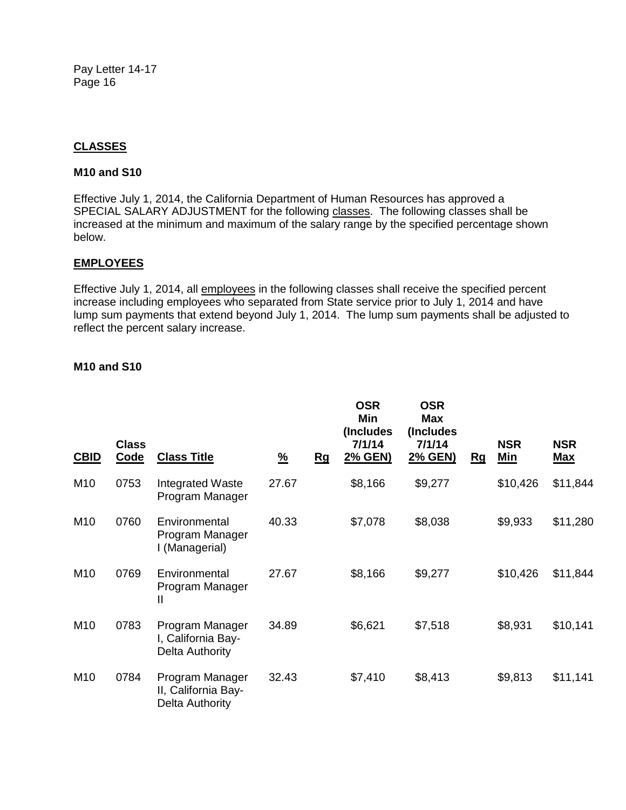## **CLASSES**

#### **M10 and S10**

Effective July 1, 2014, the California Department of Human Resources has approved a SPECIAL SALARY ADJUSTMENT for the following classes. The following classes shall be increased at the minimum and maximum of the salary range by the specified percentage shown below.

### **EMPLOYEES**

Effective July 1, 2014, all employees in the following classes shall receive the specified percent increase including employees who separated from State service prior to July 1, 2014 and have lump sum payments that extend beyond July 1, 2014. The lump sum payments shall be adjusted to reflect the percent salary increase.

#### **M10 and S10**

| <b>CBID</b>     | <b>Class</b><br>Code | <b>Class Title</b>                                        | <u>%</u> | Rg | <b>OSR</b><br><b>Min</b><br>(Includes)<br>7/1/14<br>2% GEN) | OSR<br><b>Max</b><br>(Includes<br>7/1/14<br>2% GEN) | Rg | <b>NSR</b><br>Min | <b>NSR</b><br><u>Max</u> |
|-----------------|----------------------|-----------------------------------------------------------|----------|----|-------------------------------------------------------------|-----------------------------------------------------|----|-------------------|--------------------------|
| M <sub>10</sub> | 0753                 | Integrated Waste<br>Program Manager                       | 27.67    |    | \$8,166                                                     | \$9,277                                             |    | \$10,426          | \$11,844                 |
| M <sub>10</sub> | 0760                 | Environmental<br>Program Manager<br>I (Managerial)        | 40.33    |    | \$7,078                                                     | \$8,038                                             |    | \$9,933           | \$11,280                 |
| M <sub>10</sub> | 0769                 | Environmental<br>Program Manager<br>$\mathbf{I}$          | 27.67    |    | \$8,166                                                     | \$9,277                                             |    | \$10,426          | \$11,844                 |
| M <sub>10</sub> | 0783                 | Program Manager<br>I, California Bay-<br>Delta Authority  | 34.89    |    | \$6,621                                                     | \$7,518                                             |    | \$8,931           | \$10,141                 |
| M <sub>10</sub> | 0784                 | Program Manager<br>II, California Bay-<br>Delta Authority | 32.43    |    | \$7,410                                                     | \$8,413                                             |    | \$9,813           | \$11,141                 |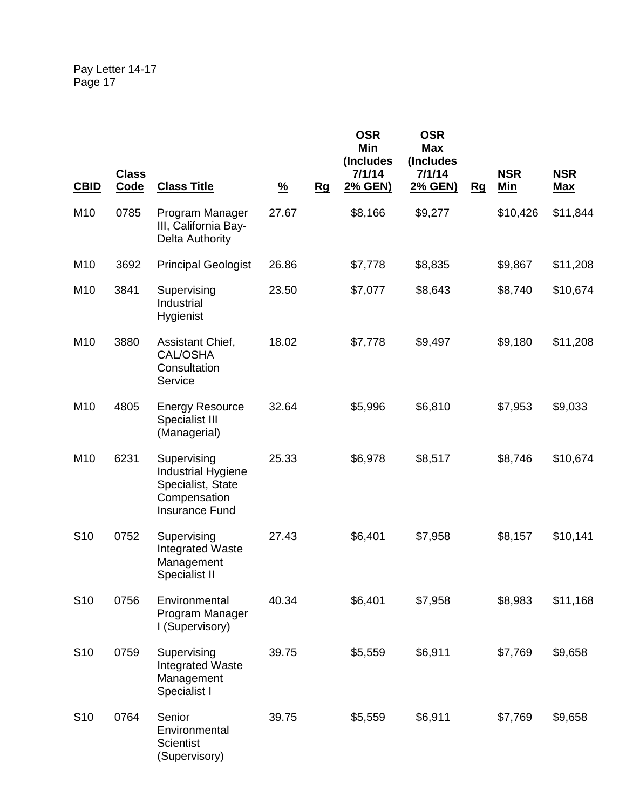| <b>CBID</b>     | <b>Class</b><br>Code | <b>Class Title</b>                                                                       | $\frac{9}{6}$ | Rg | <b>OSR</b><br><b>Min</b><br>(Includes<br>7/1/14<br><u>2% GEN)</u> | <b>OSR</b><br><b>Max</b><br>(Includes<br>7/1/14<br>2% GEN) | Rg | <b>NSR</b><br><u>Min</u> | <b>NSR</b><br><u>Max</u> |
|-----------------|----------------------|------------------------------------------------------------------------------------------|---------------|----|-------------------------------------------------------------------|------------------------------------------------------------|----|--------------------------|--------------------------|
| M <sub>10</sub> | 0785                 | Program Manager<br>III, California Bay-<br><b>Delta Authority</b>                        | 27.67         |    | \$8,166                                                           | \$9,277                                                    |    | \$10,426                 | \$11,844                 |
| M10             | 3692                 | <b>Principal Geologist</b>                                                               | 26.86         |    | \$7,778                                                           | \$8,835                                                    |    | \$9,867                  | \$11,208                 |
| M10             | 3841                 | Supervising<br>Industrial<br>Hygienist                                                   | 23.50         |    | \$7,077                                                           | \$8,643                                                    |    | \$8,740                  | \$10,674                 |
| M10             | 3880                 | Assistant Chief,<br><b>CAL/OSHA</b><br>Consultation<br>Service                           | 18.02         |    | \$7,778                                                           | \$9,497                                                    |    | \$9,180                  | \$11,208                 |
| M <sub>10</sub> | 4805                 | <b>Energy Resource</b><br>Specialist III<br>(Managerial)                                 | 32.64         |    | \$5,996                                                           | \$6,810                                                    |    | \$7,953                  | \$9,033                  |
| M10             | 6231                 | Supervising<br>Industrial Hygiene<br>Specialist, State<br>Compensation<br>Insurance Fund | 25.33         |    | \$6,978                                                           | \$8,517                                                    |    | \$8,746                  | \$10,674                 |
| S <sub>10</sub> | 0752                 | Supervising<br><b>Integrated Waste</b><br>Management<br>Specialist II                    | 27.43         |    | \$6,401                                                           | \$7,958                                                    |    | \$8,157                  | \$10,141                 |
| S <sub>10</sub> | 0756                 | Environmental<br>Program Manager<br>I (Supervisory)                                      | 40.34         |    | \$6,401                                                           | \$7,958                                                    |    | \$8,983                  | \$11,168                 |
| S <sub>10</sub> | 0759                 | Supervising<br><b>Integrated Waste</b><br>Management<br>Specialist I                     | 39.75         |    | \$5,559                                                           | \$6,911                                                    |    | \$7,769                  | \$9,658                  |
| S <sub>10</sub> | 0764                 | Senior<br>Environmental<br><b>Scientist</b><br>(Supervisory)                             | 39.75         |    | \$5,559                                                           | \$6,911                                                    |    | \$7,769                  | \$9,658                  |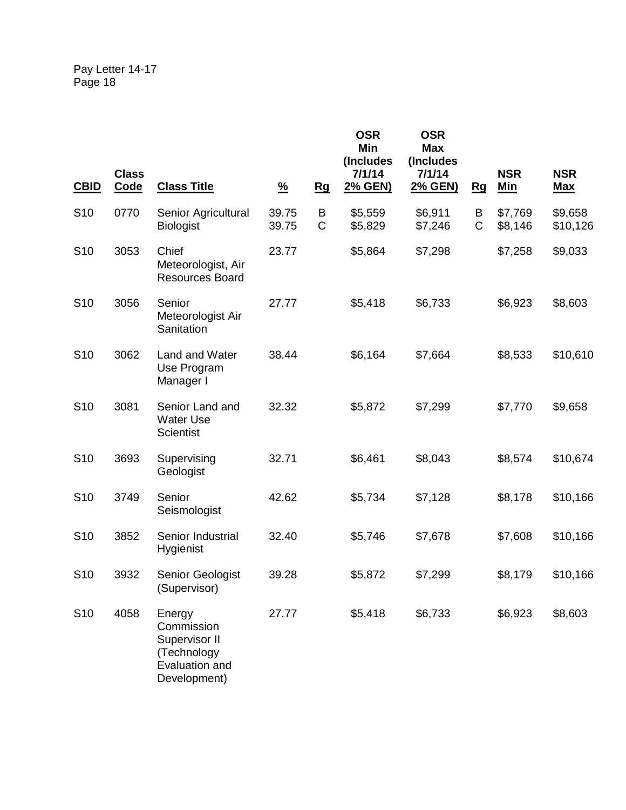| <b>CBID</b>     | <b>Class</b><br><b>Code</b> | <b>Class Title</b>                                                                     | $\frac{9}{6}$  | <u>Rg</u>        | <b>OSR</b><br>Min<br>(Includes<br>7/1/14<br>2% GEN) | <b>OSR</b><br><b>Max</b><br>(Includes<br>7/1/14<br>2% GEN) | Rg                | <b>NSR</b><br><b>Min</b> | <b>NSR</b><br><u>Max</u> |
|-----------------|-----------------------------|----------------------------------------------------------------------------------------|----------------|------------------|-----------------------------------------------------|------------------------------------------------------------|-------------------|--------------------------|--------------------------|
| S <sub>10</sub> | 0770                        | Senior Agricultural<br><b>Biologist</b>                                                | 39.75<br>39.75 | B<br>$\mathsf C$ | \$5,559<br>\$5,829                                  | \$6,911<br>\$7,246                                         | В<br>$\mathsf{C}$ | \$7,769<br>\$8,146       | \$9,658<br>\$10,126      |
| S <sub>10</sub> | 3053                        | Chief<br>Meteorologist, Air<br><b>Resources Board</b>                                  | 23.77          |                  | \$5,864                                             | \$7,298                                                    |                   | \$7,258                  | \$9,033                  |
| S <sub>10</sub> | 3056                        | Senior<br>Meteorologist Air<br>Sanitation                                              | 27.77          |                  | \$5,418                                             | \$6,733                                                    |                   | \$6,923                  | \$8,603                  |
| S <sub>10</sub> | 3062                        | Land and Water<br>Use Program<br>Manager I                                             | 38.44          |                  | \$6,164                                             | \$7,664                                                    |                   | \$8,533                  | \$10,610                 |
| S <sub>10</sub> | 3081                        | Senior Land and<br><b>Water Use</b><br><b>Scientist</b>                                | 32.32          |                  | \$5,872                                             | \$7,299                                                    |                   | \$7,770                  | \$9,658                  |
| S <sub>10</sub> | 3693                        | Supervising<br>Geologist                                                               | 32.71          |                  | \$6,461                                             | \$8,043                                                    |                   | \$8,574                  | \$10,674                 |
| S <sub>10</sub> | 3749                        | Senior<br>Seismologist                                                                 | 42.62          |                  | \$5,734                                             | \$7,128                                                    |                   | \$8,178                  | \$10,166                 |
| S <sub>10</sub> | 3852                        | Senior Industrial<br>Hygienist                                                         | 32.40          |                  | \$5,746                                             | \$7,678                                                    |                   | \$7,608                  | \$10,166                 |
| S <sub>10</sub> | 3932                        | Senior Geologist<br>(Supervisor)                                                       | 39.28          |                  | \$5,872                                             | \$7,299                                                    |                   | \$8,179                  | \$10,166                 |
| S <sub>10</sub> | 4058                        | Energy<br>Commission<br>Supervisor II<br>(Technology<br>Evaluation and<br>Development) | 27.77          |                  | \$5,418                                             | \$6,733                                                    |                   | \$6,923                  | \$8,603                  |